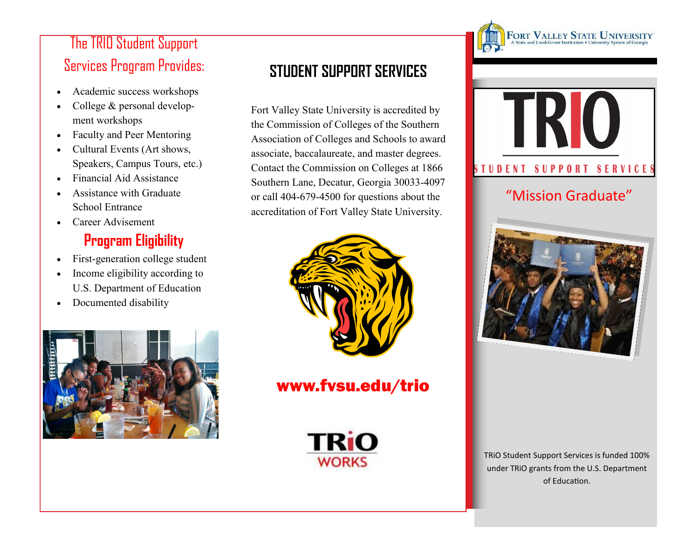# The TRIO Student Support Services Program Provides:

- Academic success workshops
- College & personal development workshops
- Faculty and Peer Mentoring
- Cultural Events (Art shows, Speakers, Campus Tours, etc.)
- Financial Aid Assistance
- Assistance with Graduate School Entrance
- Career Advisement

# **Program Eligibility**

- First-generation college student
- Income eligibility according to U.S. Department of Education
- Documented disability



## **STUDENT SUPPORT SERVICES**

Fort Valley State University is accredited by the Commission of Colleges of the Southern Association of Colleges and Schools to award associate, baccalaureate, and master degrees. Contact the Commission on Colleges at 1866 Southern Lane, Decatur, Georgia 30033-4097 or call 404-679-4500 for questions about the accreditation of Fort Valley State University.



## www.fvsu.edu/trio





 $\operatorname*{FORT}\underset{\mathrm{A\,State\,and\,Land\,Grant\,Instruction}}{\mathrm{M\,MLE\,V\,N\,T\,N\,C}}\sum_{\mathrm{M\,V\,E}}\sum_{\mathrm{M\,V\,E}}\sum_{\mathrm{S\,V\,S\,y\,stem\,of\,Georgia}}$ 



### "Mission Graduate"



TRiO Student Support Services is funded 100% under TRiO grants from the U.S. Department of Education.